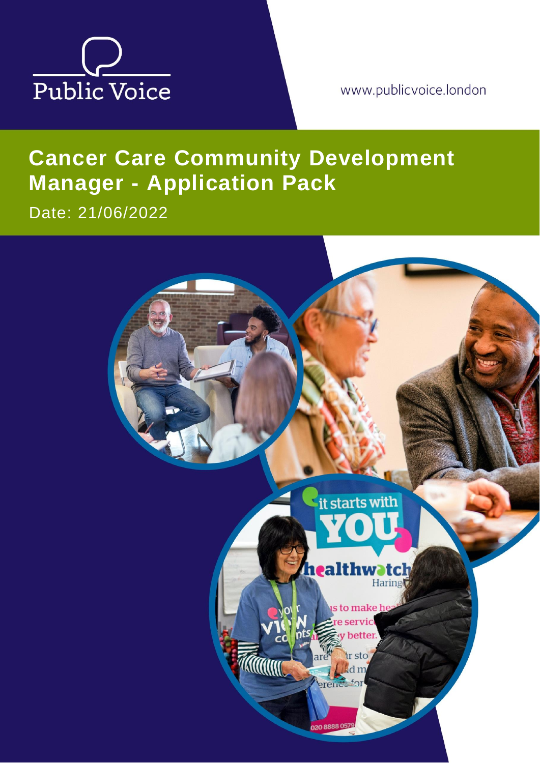

www.publicvoice.london

# **Cancer Care Community Development Manager - Application Pack**

Date: 21/06/2022

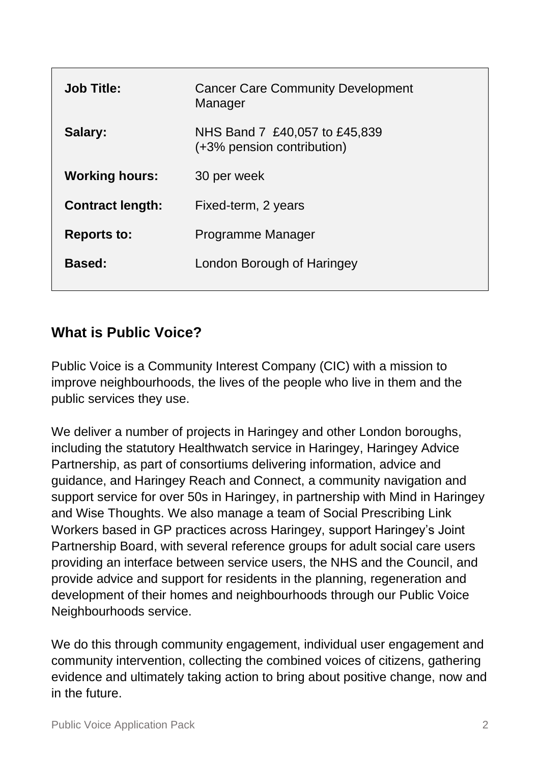| <b>Job Title:</b>       | <b>Cancer Care Community Development</b><br>Manager         |
|-------------------------|-------------------------------------------------------------|
| Salary:                 | NHS Band 7 £40,057 to £45,839<br>(+3% pension contribution) |
| <b>Working hours:</b>   | 30 per week                                                 |
| <b>Contract length:</b> | Fixed-term, 2 years                                         |
| <b>Reports to:</b>      | Programme Manager                                           |
| <b>Based:</b>           | London Borough of Haringey                                  |
|                         |                                                             |

## **What is Public Voice?**

Public Voice is a Community Interest Company (CIC) with a mission to improve neighbourhoods, the lives of the people who live in them and the public services they use.

We deliver a number of projects in Haringey and other London boroughs, including the statutory Healthwatch service in Haringey, Haringey Advice Partnership, as part of consortiums delivering information, advice and guidance, and Haringey Reach and Connect, a community navigation and support service for over 50s in Haringey, in partnership with Mind in Haringey and Wise Thoughts. We also manage a team of Social Prescribing Link Workers based in GP practices across Haringey, support Haringey's Joint Partnership Board, with several reference groups for adult social care users providing an interface between service users, the NHS and the Council, and provide advice and support for residents in the planning, regeneration and development of their homes and neighbourhoods through our Public Voice Neighbourhoods service.

We do this through community engagement, individual user engagement and community intervention, collecting the combined voices of citizens, gathering evidence and ultimately taking action to bring about positive change, now and in the future.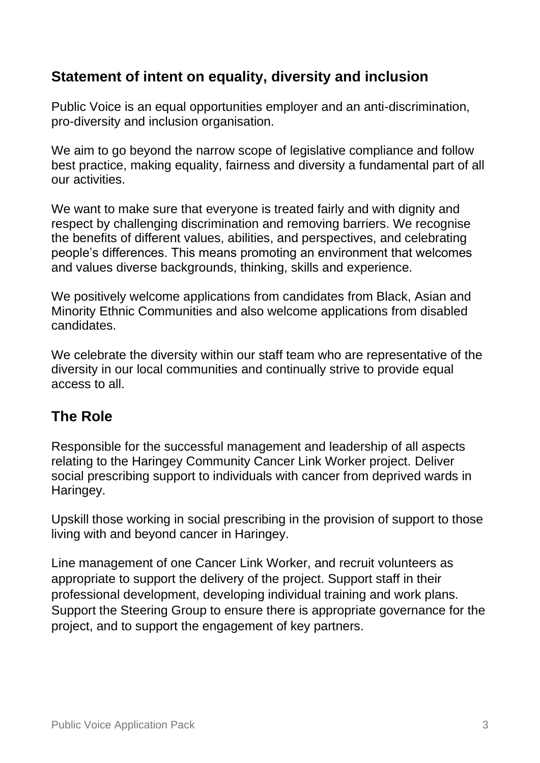## **Statement of intent on equality, diversity and inclusion**

Public Voice is an equal opportunities employer and an anti-discrimination, pro-diversity and inclusion organisation.

We aim to go beyond the narrow scope of legislative compliance and follow best practice, making equality, fairness and diversity a fundamental part of all our activities.

We want to make sure that everyone is treated fairly and with dignity and respect by challenging discrimination and removing barriers. We recognise the benefits of different values, abilities, and perspectives, and celebrating people's differences. This means promoting an environment that welcomes and values diverse backgrounds, thinking, skills and experience.

We positively welcome applications from candidates from Black, Asian and Minority Ethnic Communities and also welcome applications from disabled candidates.

We celebrate the diversity within our staff team who are representative of the diversity in our local communities and continually strive to provide equal access to all.

## **The Role**

Responsible for the successful management and leadership of all aspects relating to the Haringey Community Cancer Link Worker project. Deliver social prescribing support to individuals with cancer from deprived wards in Haringey.

Upskill those working in social prescribing in the provision of support to those living with and beyond cancer in Haringey.

Line management of one Cancer Link Worker, and recruit volunteers as appropriate to support the delivery of the project. Support staff in their professional development, developing individual training and work plans. Support the Steering Group to ensure there is appropriate governance for the project, and to support the engagement of key partners.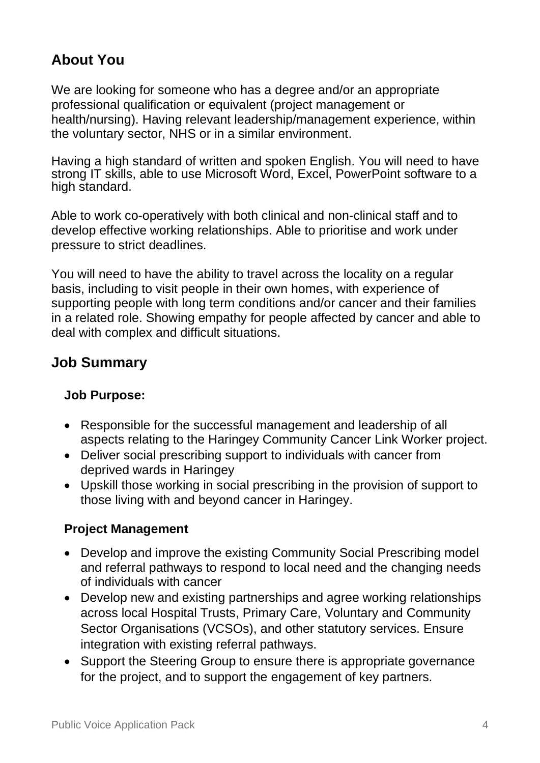# **About You**

We are looking for someone who has a degree and/or an appropriate professional qualification or equivalent (project management or health/nursing). Having relevant leadership/management experience, within the voluntary sector, NHS or in a similar environment.

Having a high standard of written and spoken English. You will need to have strong IT skills, able to use Microsoft Word, Excel, PowerPoint software to a high standard.

Able to work co-operatively with both clinical and non-clinical staff and to develop effective working relationships. Able to prioritise and work under pressure to strict deadlines.

You will need to have the ability to travel across the locality on a regular basis, including to visit people in their own homes, with experience of supporting people with long term conditions and/or cancer and their families in a related role. Showing empathy for people affected by cancer and able to deal with complex and difficult situations.

## **Job Summary**

#### **Job Purpose:**

- Responsible for the successful management and leadership of all aspects relating to the Haringey Community Cancer Link Worker project.
- Deliver social prescribing support to individuals with cancer from deprived wards in Haringey
- Upskill those working in social prescribing in the provision of support to those living with and beyond cancer in Haringey.

#### **Project Management**

- Develop and improve the existing Community Social Prescribing model and referral pathways to respond to local need and the changing needs of individuals with cancer
- Develop new and existing partnerships and agree working relationships across local Hospital Trusts, Primary Care, Voluntary and Community Sector Organisations (VCSOs), and other statutory services. Ensure integration with existing referral pathways.
- Support the Steering Group to ensure there is appropriate governance for the project, and to support the engagement of key partners.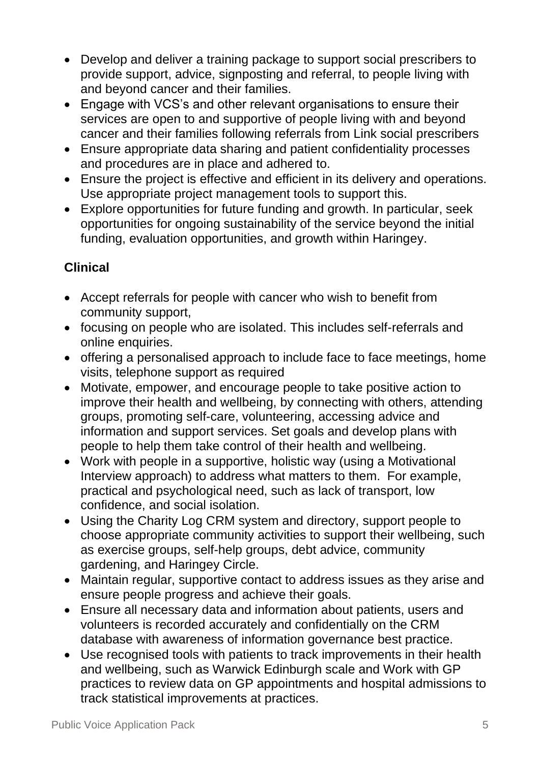- Develop and deliver a training package to support social prescribers to provide support, advice, signposting and referral, to people living with and beyond cancer and their families.
- Engage with VCS's and other relevant organisations to ensure their services are open to and supportive of people living with and beyond cancer and their families following referrals from Link social prescribers
- Ensure appropriate data sharing and patient confidentiality processes and procedures are in place and adhered to.
- Ensure the project is effective and efficient in its delivery and operations. Use appropriate project management tools to support this.
- Explore opportunities for future funding and growth. In particular, seek opportunities for ongoing sustainability of the service beyond the initial funding, evaluation opportunities, and growth within Haringey.

## **Clinical**

- Accept referrals for people with cancer who wish to benefit from community support,
- focusing on people who are isolated. This includes self-referrals and online enquiries.
- offering a personalised approach to include face to face meetings, home visits, telephone support as required
- Motivate, empower, and encourage people to take positive action to improve their health and wellbeing, by connecting with others, attending groups, promoting self-care, volunteering, accessing advice and information and support services. Set goals and develop plans with people to help them take control of their health and wellbeing.
- Work with people in a supportive, holistic way (using a Motivational Interview approach) to address what matters to them. For example, practical and psychological need, such as lack of transport, low confidence, and social isolation.
- Using the Charity Log CRM system and directory, support people to choose appropriate community activities to support their wellbeing, such as exercise groups, self-help groups, debt advice, community gardening, and Haringey Circle.
- Maintain regular, supportive contact to address issues as they arise and ensure people progress and achieve their goals.
- Ensure all necessary data and information about patients, users and volunteers is recorded accurately and confidentially on the CRM database with awareness of information governance best practice.
- Use recognised tools with patients to track improvements in their health and wellbeing, such as Warwick Edinburgh scale and Work with GP practices to review data on GP appointments and hospital admissions to track statistical improvements at practices.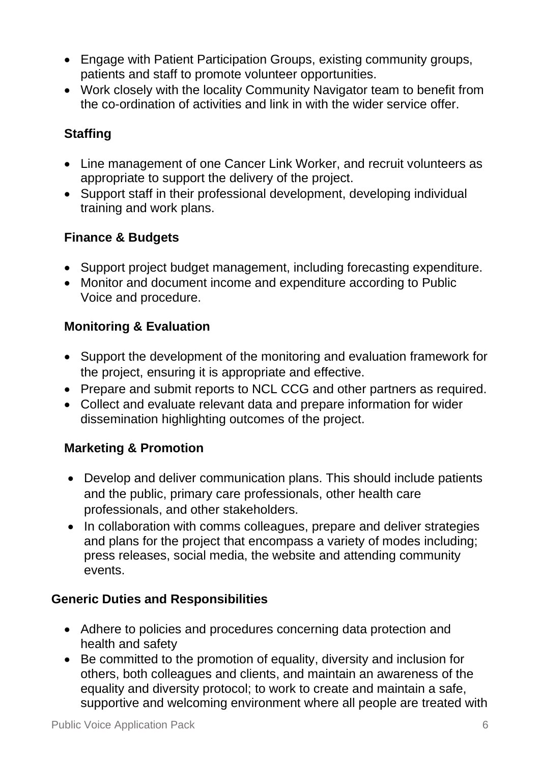- Engage with Patient Participation Groups, existing community groups, patients and staff to promote volunteer opportunities.
- Work closely with the locality Community Navigator team to benefit from the co-ordination of activities and link in with the wider service offer.

### **Staffing**

- Line management of one Cancer Link Worker, and recruit volunteers as appropriate to support the delivery of the project.
- Support staff in their professional development, developing individual training and work plans.

#### **Finance & Budgets**

- Support project budget management, including forecasting expenditure.
- Monitor and document income and expenditure according to Public Voice and procedure.

#### **Monitoring & Evaluation**

- Support the development of the monitoring and evaluation framework for the project, ensuring it is appropriate and effective.
- Prepare and submit reports to NCL CCG and other partners as required.
- Collect and evaluate relevant data and prepare information for wider dissemination highlighting outcomes of the project.

#### **Marketing & Promotion**

- Develop and deliver communication plans. This should include patients and the public, primary care professionals, other health care professionals, and other stakeholders.
- In collaboration with comms colleagues, prepare and deliver strategies and plans for the project that encompass a variety of modes including; press releases, social media, the website and attending community events.

#### **Generic Duties and Responsibilities**

- Adhere to policies and procedures concerning data protection and health and safety
- Be committed to the promotion of equality, diversity and inclusion for others, both colleagues and clients, and maintain an awareness of the equality and diversity protocol; to work to create and maintain a safe, supportive and welcoming environment where all people are treated with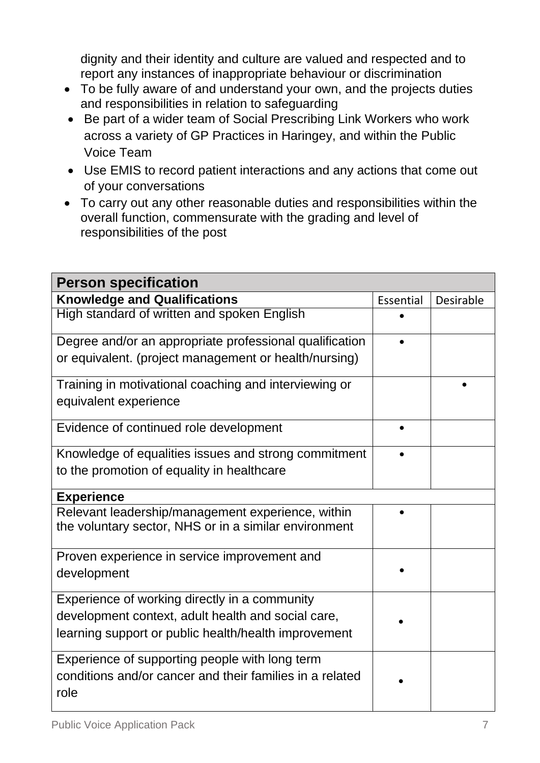dignity and their identity and culture are valued and respected and to report any instances of inappropriate behaviour or discrimination

- To be fully aware of and understand your own, and the projects duties and responsibilities in relation to safeguarding
- Be part of a wider team of Social Prescribing Link Workers who work across a variety of GP Practices in Haringey, and within the Public Voice Team
- Use EMIS to record patient interactions and any actions that come out of your conversations
- To carry out any other reasonable duties and responsibilities within the overall function, commensurate with the grading and level of responsibilities of the post

| <b>Person specification</b>                                      |           |           |  |
|------------------------------------------------------------------|-----------|-----------|--|
| <b>Knowledge and Qualifications</b>                              | Essential | Desirable |  |
| High standard of written and spoken English                      |           |           |  |
| Degree and/or an appropriate professional qualification          |           |           |  |
| or equivalent. (project management or health/nursing)            |           |           |  |
| Training in motivational coaching and interviewing or            |           |           |  |
| equivalent experience                                            |           |           |  |
| Evidence of continued role development                           |           |           |  |
| Knowledge of equalities issues and strong commitment             |           |           |  |
| to the promotion of equality in healthcare                       |           |           |  |
| <b>Experience</b>                                                |           |           |  |
| Relevant leadership/management experience, within                |           |           |  |
| the voluntary sector, NHS or in a similar environment            |           |           |  |
| Proven experience in service improvement and                     |           |           |  |
| development                                                      |           |           |  |
| Experience of working directly in a community                    |           |           |  |
| development context, adult health and social care,               |           |           |  |
| learning support or public health/health improvement             |           |           |  |
| Experience of supporting people with long term                   |           |           |  |
| conditions and/or cancer and their families in a related<br>role |           |           |  |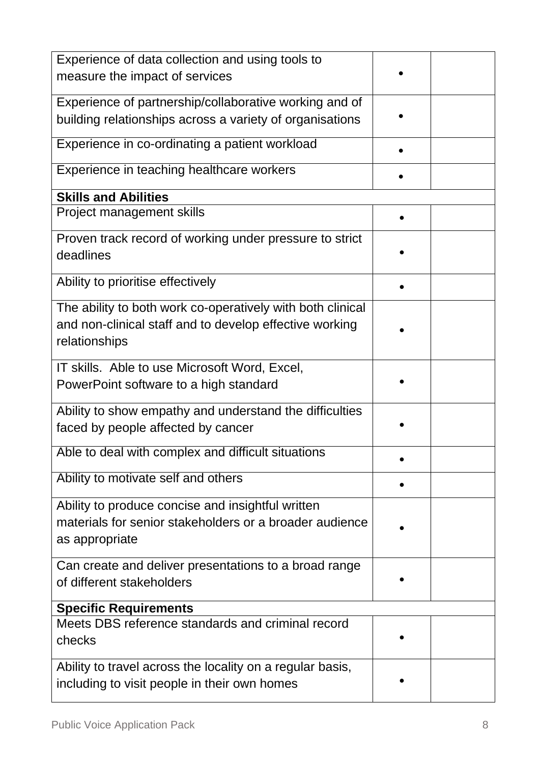| Experience of data collection and using tools to<br>measure the impact of services                                                     |  |  |  |
|----------------------------------------------------------------------------------------------------------------------------------------|--|--|--|
| Experience of partnership/collaborative working and of<br>building relationships across a variety of organisations                     |  |  |  |
| Experience in co-ordinating a patient workload                                                                                         |  |  |  |
| Experience in teaching healthcare workers                                                                                              |  |  |  |
| <b>Skills and Abilities</b>                                                                                                            |  |  |  |
| Project management skills                                                                                                              |  |  |  |
| Proven track record of working under pressure to strict<br>deadlines                                                                   |  |  |  |
| Ability to prioritise effectively                                                                                                      |  |  |  |
| The ability to both work co-operatively with both clinical<br>and non-clinical staff and to develop effective working<br>relationships |  |  |  |
| IT skills. Able to use Microsoft Word, Excel,<br>PowerPoint software to a high standard                                                |  |  |  |
| Ability to show empathy and understand the difficulties<br>faced by people affected by cancer                                          |  |  |  |
| Able to deal with complex and difficult situations                                                                                     |  |  |  |
| Ability to motivate self and others                                                                                                    |  |  |  |
| Ability to produce concise and insightful written<br>materials for senior stakeholders or a broader audience<br>as appropriate         |  |  |  |
| Can create and deliver presentations to a broad range<br>of different stakeholders                                                     |  |  |  |
| <b>Specific Requirements</b>                                                                                                           |  |  |  |
| Meets DBS reference standards and criminal record<br>checks                                                                            |  |  |  |
| Ability to travel across the locality on a regular basis,<br>including to visit people in their own homes                              |  |  |  |